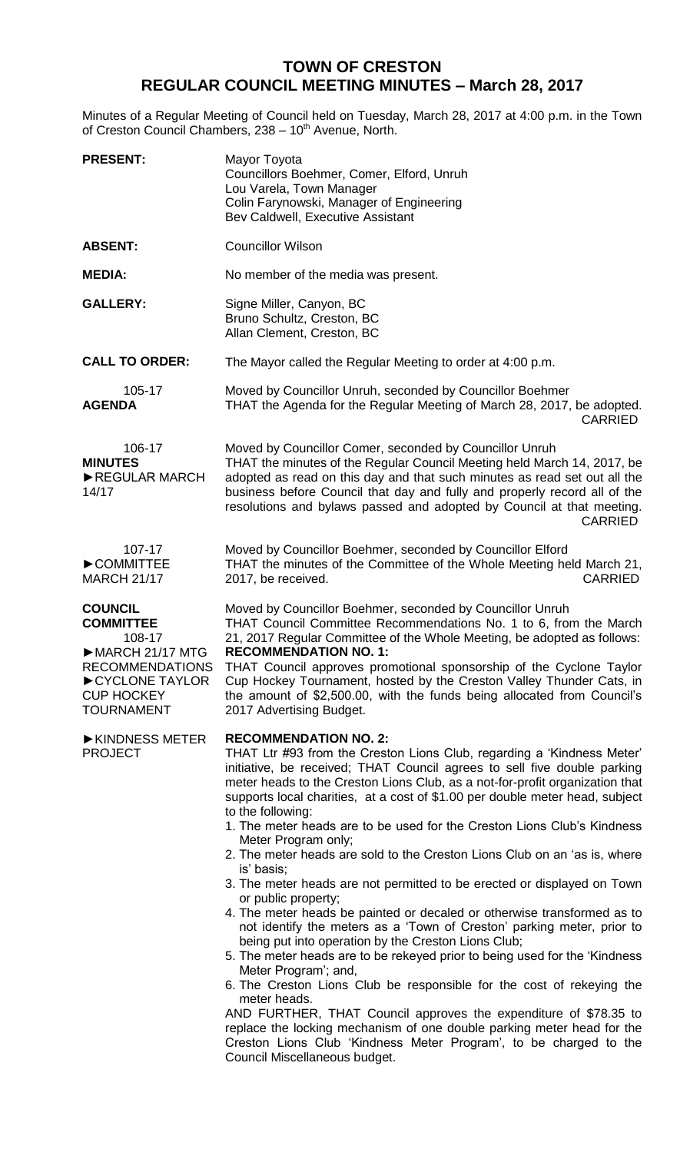## **TOWN OF CRESTON REGULAR COUNCIL MEETING MINUTES – March 28, 2017**

Minutes of a Regular Meeting of Council held on Tuesday, March 28, 2017 at 4:00 p.m. in the Town of Creston Council Chambers, 238 - 10<sup>th</sup> Avenue, North.

| <b>PRESENT:</b>                                                                                                                                                        | Mayor Toyota<br>Councillors Boehmer, Comer, Elford, Unruh<br>Lou Varela, Town Manager<br>Colin Farynowski, Manager of Engineering<br>Bev Caldwell, Executive Assistant                                                                                                                                                                                                                                                                                                                                                                                                                                                                                                                                                                                                                                                                                                                                                                                                                                                                                                                                                                                                                                                                                                                                                                 |
|------------------------------------------------------------------------------------------------------------------------------------------------------------------------|----------------------------------------------------------------------------------------------------------------------------------------------------------------------------------------------------------------------------------------------------------------------------------------------------------------------------------------------------------------------------------------------------------------------------------------------------------------------------------------------------------------------------------------------------------------------------------------------------------------------------------------------------------------------------------------------------------------------------------------------------------------------------------------------------------------------------------------------------------------------------------------------------------------------------------------------------------------------------------------------------------------------------------------------------------------------------------------------------------------------------------------------------------------------------------------------------------------------------------------------------------------------------------------------------------------------------------------|
| <b>ABSENT:</b>                                                                                                                                                         | <b>Councillor Wilson</b>                                                                                                                                                                                                                                                                                                                                                                                                                                                                                                                                                                                                                                                                                                                                                                                                                                                                                                                                                                                                                                                                                                                                                                                                                                                                                                               |
| <b>MEDIA:</b>                                                                                                                                                          | No member of the media was present.                                                                                                                                                                                                                                                                                                                                                                                                                                                                                                                                                                                                                                                                                                                                                                                                                                                                                                                                                                                                                                                                                                                                                                                                                                                                                                    |
| <b>GALLERY:</b>                                                                                                                                                        | Signe Miller, Canyon, BC<br>Bruno Schultz, Creston, BC<br>Allan Clement, Creston, BC                                                                                                                                                                                                                                                                                                                                                                                                                                                                                                                                                                                                                                                                                                                                                                                                                                                                                                                                                                                                                                                                                                                                                                                                                                                   |
| <b>CALL TO ORDER:</b>                                                                                                                                                  | The Mayor called the Regular Meeting to order at 4:00 p.m.                                                                                                                                                                                                                                                                                                                                                                                                                                                                                                                                                                                                                                                                                                                                                                                                                                                                                                                                                                                                                                                                                                                                                                                                                                                                             |
| 105-17<br><b>AGENDA</b>                                                                                                                                                | Moved by Councillor Unruh, seconded by Councillor Boehmer<br>THAT the Agenda for the Regular Meeting of March 28, 2017, be adopted.<br><b>CARRIED</b>                                                                                                                                                                                                                                                                                                                                                                                                                                                                                                                                                                                                                                                                                                                                                                                                                                                                                                                                                                                                                                                                                                                                                                                  |
| 106-17<br><b>MINUTES</b><br>REGULAR MARCH<br>14/17                                                                                                                     | Moved by Councillor Comer, seconded by Councillor Unruh<br>THAT the minutes of the Regular Council Meeting held March 14, 2017, be<br>adopted as read on this day and that such minutes as read set out all the<br>business before Council that day and fully and properly record all of the<br>resolutions and bylaws passed and adopted by Council at that meeting.<br><b>CARRIED</b>                                                                                                                                                                                                                                                                                                                                                                                                                                                                                                                                                                                                                                                                                                                                                                                                                                                                                                                                                |
| 107-17<br>COMMITTEE<br><b>MARCH 21/17</b>                                                                                                                              | Moved by Councillor Boehmer, seconded by Councillor Elford<br>THAT the minutes of the Committee of the Whole Meeting held March 21,<br>2017, be received.<br><b>CARRIED</b>                                                                                                                                                                                                                                                                                                                                                                                                                                                                                                                                                                                                                                                                                                                                                                                                                                                                                                                                                                                                                                                                                                                                                            |
| <b>COUNCIL</b><br><b>COMMITTEE</b><br>108-17<br>$\triangleright$ MARCH 21/17 MTG<br><b>RECOMMENDATIONS</b><br>CYCLONE TAYLOR<br><b>CUP HOCKEY</b><br><b>TOURNAMENT</b> | Moved by Councillor Boehmer, seconded by Councillor Unruh<br>THAT Council Committee Recommendations No. 1 to 6, from the March<br>21, 2017 Regular Committee of the Whole Meeting, be adopted as follows:<br><b>RECOMMENDATION NO. 1:</b><br>THAT Council approves promotional sponsorship of the Cyclone Taylor<br>Cup Hockey Tournament, hosted by the Creston Valley Thunder Cats, in<br>the amount of \$2,500.00, with the funds being allocated from Council's<br>2017 Advertising Budget.                                                                                                                                                                                                                                                                                                                                                                                                                                                                                                                                                                                                                                                                                                                                                                                                                                        |
| ▶ KINDNESS METER<br><b>PROJECT</b>                                                                                                                                     | <b>RECOMMENDATION NO. 2:</b><br>THAT Ltr #93 from the Creston Lions Club, regarding a 'Kindness Meter'<br>initiative, be received; THAT Council agrees to sell five double parking<br>meter heads to the Creston Lions Club, as a not-for-profit organization that<br>supports local charities, at a cost of \$1.00 per double meter head, subject<br>to the following:<br>1. The meter heads are to be used for the Creston Lions Club's Kindness<br>Meter Program only;<br>2. The meter heads are sold to the Creston Lions Club on an 'as is, where<br>is' basis;<br>3. The meter heads are not permitted to be erected or displayed on Town<br>or public property;<br>4. The meter heads be painted or decaled or otherwise transformed as to<br>not identify the meters as a 'Town of Creston' parking meter, prior to<br>being put into operation by the Creston Lions Club;<br>5. The meter heads are to be rekeyed prior to being used for the 'Kindness'<br>Meter Program'; and,<br>6. The Creston Lions Club be responsible for the cost of rekeying the<br>meter heads.<br>AND FURTHER, THAT Council approves the expenditure of \$78.35 to<br>replace the locking mechanism of one double parking meter head for the<br>Creston Lions Club 'Kindness Meter Program', to be charged to the<br>Council Miscellaneous budget. |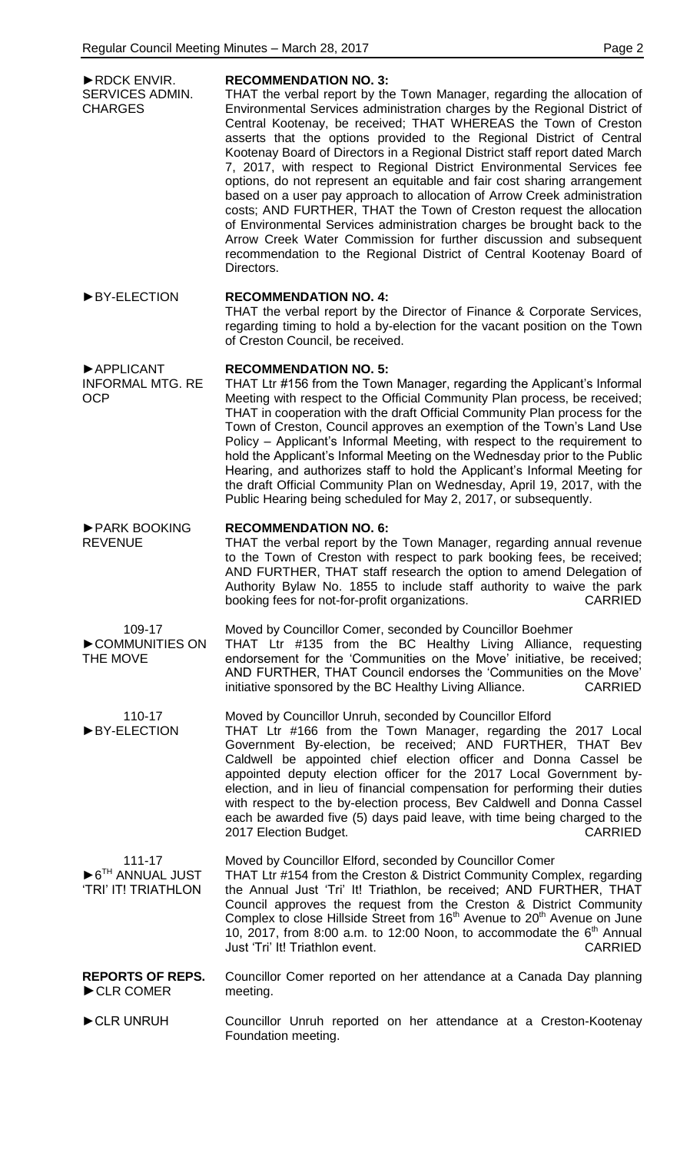| RDCK ENVIR.<br>SERVICES ADMIN.<br><b>CHARGES</b>                              | <b>RECOMMENDATION NO. 3:</b><br>THAT the verbal report by the Town Manager, regarding the allocation of<br>Environmental Services administration charges by the Regional District of<br>Central Kootenay, be received; THAT WHEREAS the Town of Creston<br>asserts that the options provided to the Regional District of Central<br>Kootenay Board of Directors in a Regional District staff report dated March<br>7, 2017, with respect to Regional District Environmental Services fee<br>options, do not represent an equitable and fair cost sharing arrangement<br>based on a user pay approach to allocation of Arrow Creek administration<br>costs; AND FURTHER, THAT the Town of Creston request the allocation<br>of Environmental Services administration charges be brought back to the<br>Arrow Creek Water Commission for further discussion and subsequent<br>recommendation to the Regional District of Central Kootenay Board of<br>Directors. |
|-------------------------------------------------------------------------------|----------------------------------------------------------------------------------------------------------------------------------------------------------------------------------------------------------------------------------------------------------------------------------------------------------------------------------------------------------------------------------------------------------------------------------------------------------------------------------------------------------------------------------------------------------------------------------------------------------------------------------------------------------------------------------------------------------------------------------------------------------------------------------------------------------------------------------------------------------------------------------------------------------------------------------------------------------------|
| BY-ELECTION                                                                   | <b>RECOMMENDATION NO. 4:</b><br>THAT the verbal report by the Director of Finance & Corporate Services,<br>regarding timing to hold a by-election for the vacant position on the Town<br>of Creston Council, be received.                                                                                                                                                                                                                                                                                                                                                                                                                                                                                                                                                                                                                                                                                                                                      |
| APPLICANT<br><b>INFORMAL MTG. RE</b><br><b>OCP</b>                            | <b>RECOMMENDATION NO. 5:</b><br>THAT Ltr #156 from the Town Manager, regarding the Applicant's Informal<br>Meeting with respect to the Official Community Plan process, be received;<br>THAT in cooperation with the draft Official Community Plan process for the<br>Town of Creston, Council approves an exemption of the Town's Land Use<br>Policy – Applicant's Informal Meeting, with respect to the requirement to<br>hold the Applicant's Informal Meeting on the Wednesday prior to the Public<br>Hearing, and authorizes staff to hold the Applicant's Informal Meeting for<br>the draft Official Community Plan on Wednesday, April 19, 2017, with the<br>Public Hearing being scheduled for May 2, 2017, or subsequently.                                                                                                                                                                                                                           |
| PARK BOOKING<br><b>REVENUE</b>                                                | <b>RECOMMENDATION NO. 6:</b><br>THAT the verbal report by the Town Manager, regarding annual revenue<br>to the Town of Creston with respect to park booking fees, be received;<br>AND FURTHER, THAT staff research the option to amend Delegation of<br>Authority Bylaw No. 1855 to include staff authority to waive the park<br><b>CARRIED</b><br>booking fees for not-for-profit organizations.                                                                                                                                                                                                                                                                                                                                                                                                                                                                                                                                                              |
| 109-17<br>COMMUNITIES ON<br>THE MOVE                                          | Moved by Councillor Comer, seconded by Councillor Boehmer<br>THAT Ltr #135 from the BC Healthy Living Alliance, requesting<br>endorsement for the 'Communities on the Move' initiative, be received;<br>AND FURTHER, THAT Council endorses the 'Communities on the Move'<br>initiative sponsored by the BC Healthy Living Alliance.<br><b>CARRIED</b>                                                                                                                                                                                                                                                                                                                                                                                                                                                                                                                                                                                                          |
| 110-17<br>BY-ELECTION                                                         | Moved by Councillor Unruh, seconded by Councillor Elford<br>THAT Ltr #166 from the Town Manager, regarding the 2017 Local<br>Government By-election, be received; AND FURTHER, THAT Bev<br>Caldwell be appointed chief election officer and Donna Cassel be<br>appointed deputy election officer for the 2017 Local Government by-<br>election, and in lieu of financial compensation for performing their duties<br>with respect to the by-election process, Bev Caldwell and Donna Cassel<br>each be awarded five (5) days paid leave, with time being charged to the<br>2017 Election Budget.<br><b>CARRIED</b>                                                                                                                                                                                                                                                                                                                                             |
| 111-17<br>$\triangleright$ 6 <sup>TH</sup> ANNUAL JUST<br>'TRI' IT! TRIATHLON | Moved by Councillor Elford, seconded by Councillor Comer<br>THAT Ltr #154 from the Creston & District Community Complex, regarding<br>the Annual Just 'Tri' It! Triathlon, be received; AND FURTHER, THAT<br>Council approves the request from the Creston & District Community<br>Complex to close Hillside Street from 16 <sup>th</sup> Avenue to 20 <sup>th</sup> Avenue on June<br>10, 2017, from 8:00 a.m. to 12:00 Noon, to accommodate the $6th$ Annual<br>Just 'Tri' It! Triathlon event.<br><b>CARRIED</b>                                                                                                                                                                                                                                                                                                                                                                                                                                            |
| <b>REPORTS OF REPS.</b><br>CLR COMER                                          | Councillor Comer reported on her attendance at a Canada Day planning<br>meeting.                                                                                                                                                                                                                                                                                                                                                                                                                                                                                                                                                                                                                                                                                                                                                                                                                                                                               |
| CLR UNRUH                                                                     | Councillor Unruh reported on her attendance at a Creston-Kootenay<br>Foundation meeting.                                                                                                                                                                                                                                                                                                                                                                                                                                                                                                                                                                                                                                                                                                                                                                                                                                                                       |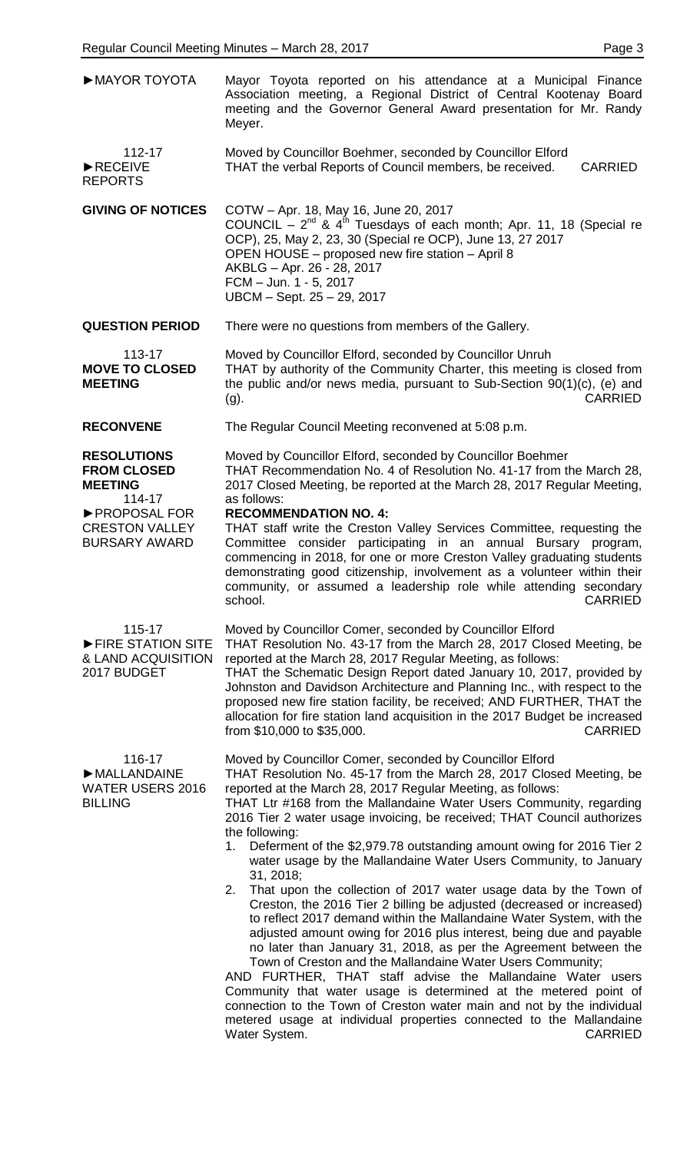| MAYOR TOYOTA                                                                                                                            | Mayor Toyota reported on his attendance at a Municipal Finance<br>Association meeting, a Regional District of Central Kootenay Board<br>meeting and the Governor General Award presentation for Mr. Randy<br>Meyer.                                                                                                                                                                                                                                                                                                                                                                                                                                                                                                                                                                                                                     |
|-----------------------------------------------------------------------------------------------------------------------------------------|-----------------------------------------------------------------------------------------------------------------------------------------------------------------------------------------------------------------------------------------------------------------------------------------------------------------------------------------------------------------------------------------------------------------------------------------------------------------------------------------------------------------------------------------------------------------------------------------------------------------------------------------------------------------------------------------------------------------------------------------------------------------------------------------------------------------------------------------|
| 112-17<br>RECEIVE<br><b>REPORTS</b>                                                                                                     | Moved by Councillor Boehmer, seconded by Councillor Elford<br>THAT the verbal Reports of Council members, be received.<br><b>CARRIED</b>                                                                                                                                                                                                                                                                                                                                                                                                                                                                                                                                                                                                                                                                                                |
| <b>GIVING OF NOTICES</b>                                                                                                                | COTW - Apr. 18, May 16, June 20, 2017<br>COUNCIL - $2^{nd}$ & $4^{th}$ Tuesdays of each month; Apr. 11, 18 (Special re<br>OCP), 25, May 2, 23, 30 (Special re OCP), June 13, 27 2017<br>OPEN HOUSE - proposed new fire station - April 8<br>AKBLG - Apr. 26 - 28, 2017<br>FCM - Jun. 1 - 5, 2017<br>UBCM - Sept. 25 - 29, 2017                                                                                                                                                                                                                                                                                                                                                                                                                                                                                                          |
| <b>QUESTION PERIOD</b>                                                                                                                  | There were no questions from members of the Gallery.                                                                                                                                                                                                                                                                                                                                                                                                                                                                                                                                                                                                                                                                                                                                                                                    |
| 113-17<br><b>MOVE TO CLOSED</b><br><b>MEETING</b>                                                                                       | Moved by Councillor Elford, seconded by Councillor Unruh<br>THAT by authority of the Community Charter, this meeting is closed from<br>the public and/or news media, pursuant to Sub-Section 90(1)(c), (e) and<br><b>CARRIED</b><br>$(g)$ .                                                                                                                                                                                                                                                                                                                                                                                                                                                                                                                                                                                             |
| <b>RECONVENE</b>                                                                                                                        | The Regular Council Meeting reconvened at 5:08 p.m.                                                                                                                                                                                                                                                                                                                                                                                                                                                                                                                                                                                                                                                                                                                                                                                     |
| <b>RESOLUTIONS</b><br><b>FROM CLOSED</b><br><b>MEETING</b><br>114-17<br>▶ PROPOSAL FOR<br><b>CRESTON VALLEY</b><br><b>BURSARY AWARD</b> | Moved by Councillor Elford, seconded by Councillor Boehmer<br>THAT Recommendation No. 4 of Resolution No. 41-17 from the March 28,<br>2017 Closed Meeting, be reported at the March 28, 2017 Regular Meeting,<br>as follows:<br><b>RECOMMENDATION NO. 4:</b><br>THAT staff write the Creston Valley Services Committee, requesting the<br>Committee consider participating in an annual Bursary program,<br>commencing in 2018, for one or more Creston Valley graduating students<br>demonstrating good citizenship, involvement as a volunteer within their                                                                                                                                                                                                                                                                           |
|                                                                                                                                         | community, or assumed a leadership role while attending secondary<br><b>CARRIED</b><br>school.                                                                                                                                                                                                                                                                                                                                                                                                                                                                                                                                                                                                                                                                                                                                          |
| 115-17<br>FIRE STATION SITE<br>& LAND ACQUISITION<br>2017 BUDGET                                                                        | Moved by Councillor Comer, seconded by Councillor Elford<br>THAT Resolution No. 43-17 from the March 28, 2017 Closed Meeting, be<br>reported at the March 28, 2017 Regular Meeting, as follows:<br>THAT the Schematic Design Report dated January 10, 2017, provided by<br>Johnston and Davidson Architecture and Planning Inc., with respect to the<br>proposed new fire station facility, be received; AND FURTHER, THAT the<br>allocation for fire station land acquisition in the 2017 Budget be increased<br><b>CARRIED</b><br>from \$10,000 to \$35,000.                                                                                                                                                                                                                                                                          |
| 116-17<br>MALLANDAINE<br><b>WATER USERS 2016</b><br><b>BILLING</b>                                                                      | Moved by Councillor Comer, seconded by Councillor Elford<br>THAT Resolution No. 45-17 from the March 28, 2017 Closed Meeting, be<br>reported at the March 28, 2017 Regular Meeting, as follows:<br>THAT Ltr #168 from the Mallandaine Water Users Community, regarding<br>2016 Tier 2 water usage invoicing, be received; THAT Council authorizes<br>the following:<br>Deferment of the \$2,979.78 outstanding amount owing for 2016 Tier 2<br>1.                                                                                                                                                                                                                                                                                                                                                                                       |
|                                                                                                                                         | water usage by the Mallandaine Water Users Community, to January<br>31, 2018;<br>That upon the collection of 2017 water usage data by the Town of<br>2.<br>Creston, the 2016 Tier 2 billing be adjusted (decreased or increased)<br>to reflect 2017 demand within the Mallandaine Water System, with the<br>adjusted amount owing for 2016 plus interest, being due and payable<br>no later than January 31, 2018, as per the Agreement between the<br>Town of Creston and the Mallandaine Water Users Community;<br>AND FURTHER, THAT staff advise the Mallandaine Water users<br>Community that water usage is determined at the metered point of<br>connection to the Town of Creston water main and not by the individual<br>metered usage at individual properties connected to the Mallandaine<br><b>CARRIED</b><br>Water System. |